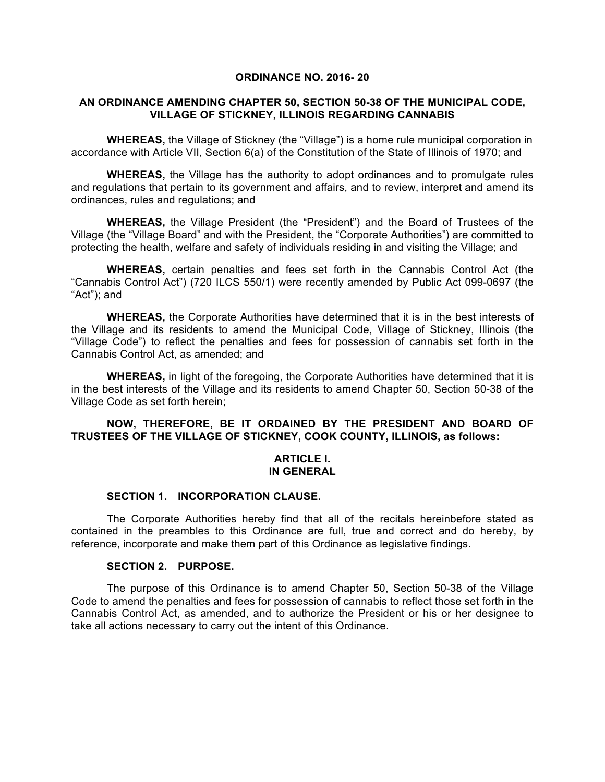### **ORDINANCE NO. 2016- 20**

### **AN ORDINANCE AMENDING CHAPTER 50, SECTION 50-38 OF THE MUNICIPAL CODE, VILLAGE OF STICKNEY, ILLINOIS REGARDING CANNABIS**

**WHEREAS,** the Village of Stickney (the "Village") is a home rule municipal corporation in accordance with Article VII, Section 6(a) of the Constitution of the State of Illinois of 1970; and

**WHEREAS,** the Village has the authority to adopt ordinances and to promulgate rules and regulations that pertain to its government and affairs, and to review, interpret and amend its ordinances, rules and regulations; and

**WHEREAS,** the Village President (the "President") and the Board of Trustees of the Village (the "Village Board" and with the President, the "Corporate Authorities") are committed to protecting the health, welfare and safety of individuals residing in and visiting the Village; and

**WHEREAS,** certain penalties and fees set forth in the Cannabis Control Act (the "Cannabis Control Act") (720 ILCS 550/1) were recently amended by Public Act 099-0697 (the "Act"); and

**WHEREAS,** the Corporate Authorities have determined that it is in the best interests of the Village and its residents to amend the Municipal Code, Village of Stickney, Illinois (the "Village Code") to reflect the penalties and fees for possession of cannabis set forth in the Cannabis Control Act, as amended; and

**WHEREAS,** in light of the foregoing, the Corporate Authorities have determined that it is in the best interests of the Village and its residents to amend Chapter 50, Section 50-38 of the Village Code as set forth herein;

# **NOW, THEREFORE, BE IT ORDAINED BY THE PRESIDENT AND BOARD OF TRUSTEES OF THE VILLAGE OF STICKNEY, COOK COUNTY, ILLINOIS, as follows:**

### **ARTICLE I. IN GENERAL**

### **SECTION 1. INCORPORATION CLAUSE.**

The Corporate Authorities hereby find that all of the recitals hereinbefore stated as contained in the preambles to this Ordinance are full, true and correct and do hereby, by reference, incorporate and make them part of this Ordinance as legislative findings.

### **SECTION 2. PURPOSE.**

The purpose of this Ordinance is to amend Chapter 50, Section 50-38 of the Village Code to amend the penalties and fees for possession of cannabis to reflect those set forth in the Cannabis Control Act, as amended, and to authorize the President or his or her designee to take all actions necessary to carry out the intent of this Ordinance.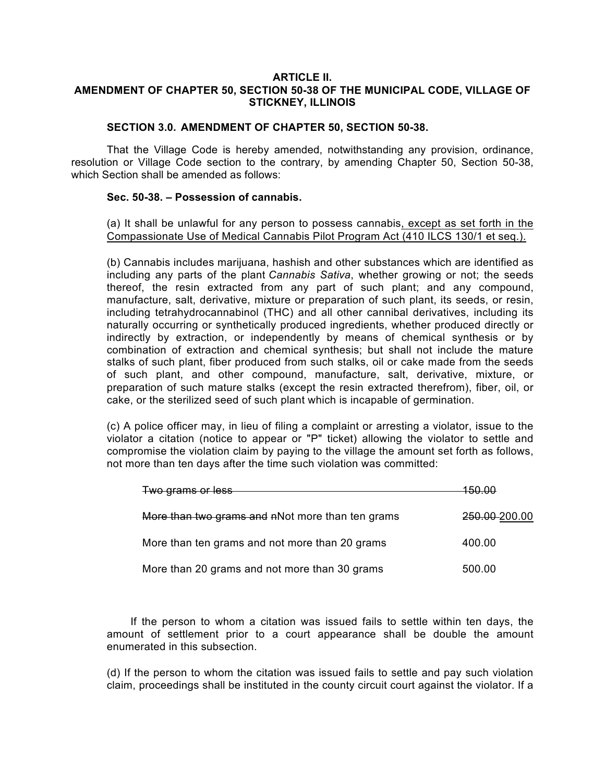### **ARTICLE II. AMENDMENT OF CHAPTER 50, SECTION 50-38 OF THE MUNICIPAL CODE, VILLAGE OF STICKNEY, ILLINOIS**

# **SECTION 3.0. AMENDMENT OF CHAPTER 50, SECTION 50-38.**

That the Village Code is hereby amended, notwithstanding any provision, ordinance, resolution or Village Code section to the contrary, by amending Chapter 50, Section 50-38, which Section shall be amended as follows:

# **Sec. 50-38. – Possession of cannabis.**

(a) It shall be unlawful for any person to possess cannabis, except as set forth in the Compassionate Use of Medical Cannabis Pilot Program Act (410 ILCS 130/1 et seq.).

(b) Cannabis includes marijuana, hashish and other substances which are identified as including any parts of the plant *Cannabis Sativa*, whether growing or not; the seeds thereof, the resin extracted from any part of such plant; and any compound, manufacture, salt, derivative, mixture or preparation of such plant, its seeds, or resin, including tetrahydrocannabinol (THC) and all other cannibal derivatives, including its naturally occurring or synthetically produced ingredients, whether produced directly or indirectly by extraction, or independently by means of chemical synthesis or by combination of extraction and chemical synthesis; but shall not include the mature stalks of such plant, fiber produced from such stalks, oil or cake made from the seeds of such plant, and other compound, manufacture, salt, derivative, mixture, or preparation of such mature stalks (except the resin extracted therefrom), fiber, oil, or cake, or the sterilized seed of such plant which is incapable of germination.

(c) A police officer may, in lieu of filing a complaint or arresting a violator, issue to the violator a citation (notice to appear or "P" ticket) allowing the violator to settle and compromise the violation claim by paying to the village the amount set forth as follows, not more than ten days after the time such violation was committed:

| Two grams or less                                |               |
|--------------------------------------------------|---------------|
| More than two grams and nNot more than ten grams | 250.00-200.00 |
| More than ten grams and not more than 20 grams   | 400.00        |
| More than 20 grams and not more than 30 grams    | 500.00        |

If the person to whom a citation was issued fails to settle within ten days, the amount of settlement prior to a court appearance shall be double the amount enumerated in this subsection.

(d) If the person to whom the citation was issued fails to settle and pay such violation claim, proceedings shall be instituted in the county circuit court against the violator. If a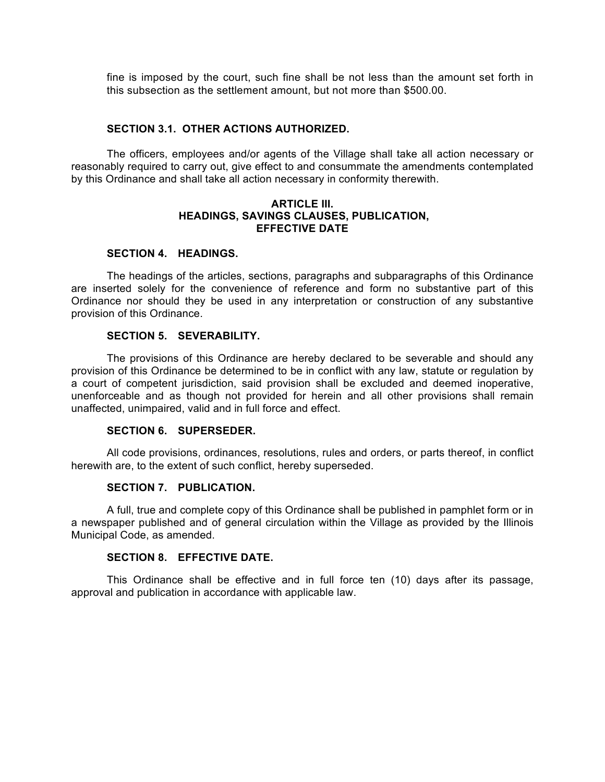fine is imposed by the court, such fine shall be not less than the amount set forth in this subsection as the settlement amount, but not more than \$500.00.

#### **SECTION 3.1. OTHER ACTIONS AUTHORIZED.**

The officers, employees and/or agents of the Village shall take all action necessary or reasonably required to carry out, give effect to and consummate the amendments contemplated by this Ordinance and shall take all action necessary in conformity therewith.

### **ARTICLE III. HEADINGS, SAVINGS CLAUSES, PUBLICATION, EFFECTIVE DATE**

#### **SECTION 4. HEADINGS.**

The headings of the articles, sections, paragraphs and subparagraphs of this Ordinance are inserted solely for the convenience of reference and form no substantive part of this Ordinance nor should they be used in any interpretation or construction of any substantive provision of this Ordinance.

### **SECTION 5. SEVERABILITY.**

The provisions of this Ordinance are hereby declared to be severable and should any provision of this Ordinance be determined to be in conflict with any law, statute or regulation by a court of competent jurisdiction, said provision shall be excluded and deemed inoperative, unenforceable and as though not provided for herein and all other provisions shall remain unaffected, unimpaired, valid and in full force and effect.

#### **SECTION 6. SUPERSEDER.**

All code provisions, ordinances, resolutions, rules and orders, or parts thereof, in conflict herewith are, to the extent of such conflict, hereby superseded.

### **SECTION 7. PUBLICATION.**

A full, true and complete copy of this Ordinance shall be published in pamphlet form or in a newspaper published and of general circulation within the Village as provided by the Illinois Municipal Code, as amended.

# **SECTION 8. EFFECTIVE DATE.**

This Ordinance shall be effective and in full force ten (10) days after its passage, approval and publication in accordance with applicable law.